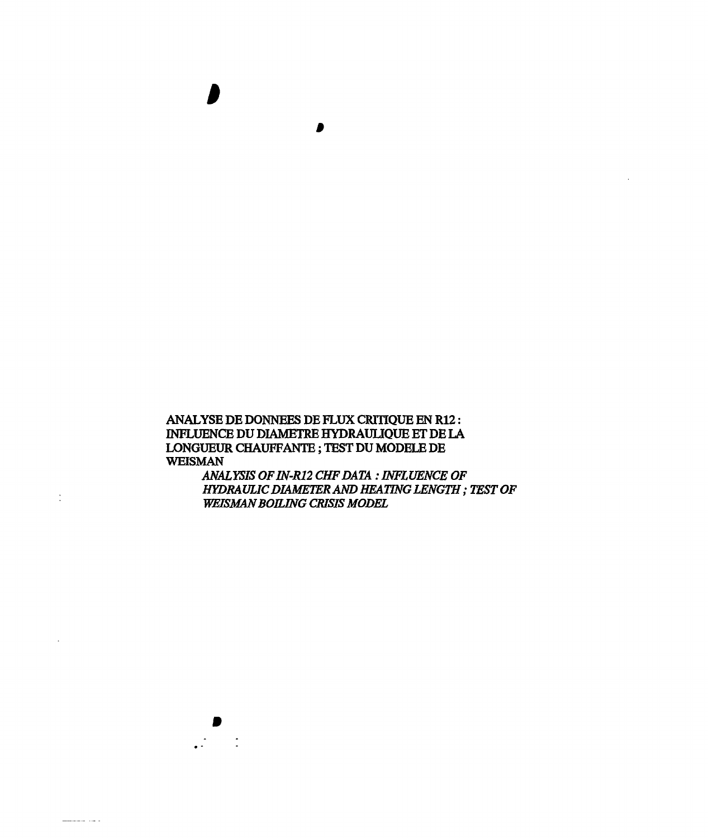ANALYSE DE DONNEES DE FLUX CRITIQUE EN R12 : INFLUENCE DU DIAMETRE HYDRAULIQUE ET DE LA LONGUEUR CHAUFFANTE ; TEST DU MODELE DE WEISMAN

 $\frac{1}{2}$   $\frac{1}{2}$ 

 $\ddot{\cdot}$ 

 $\frac{1}{2} \left( \frac{1}{2} \frac{1}{2} \frac{1}{2} \frac{1}{2} \frac{1}{2} \frac{1}{2} \frac{1}{2} \frac{1}{2} \frac{1}{2} \frac{1}{2} \frac{1}{2} \frac{1}{2} \frac{1}{2} \frac{1}{2} \frac{1}{2} \frac{1}{2} \frac{1}{2} \frac{1}{2} \frac{1}{2} \frac{1}{2} \frac{1}{2} \frac{1}{2} \frac{1}{2} \frac{1}{2} \frac{1}{2} \frac{1}{2} \frac{1}{2} \frac{1}{2} \frac{1}{2} \frac{1}{2}$ 

*ANALYSIS OFIN-R12 CHFDATA : INFLUENCE OF HYDRAULIC DIAMETER AND HEATING LENGTH; TESTOF WEISMAN BOILING CRISIS MODEL*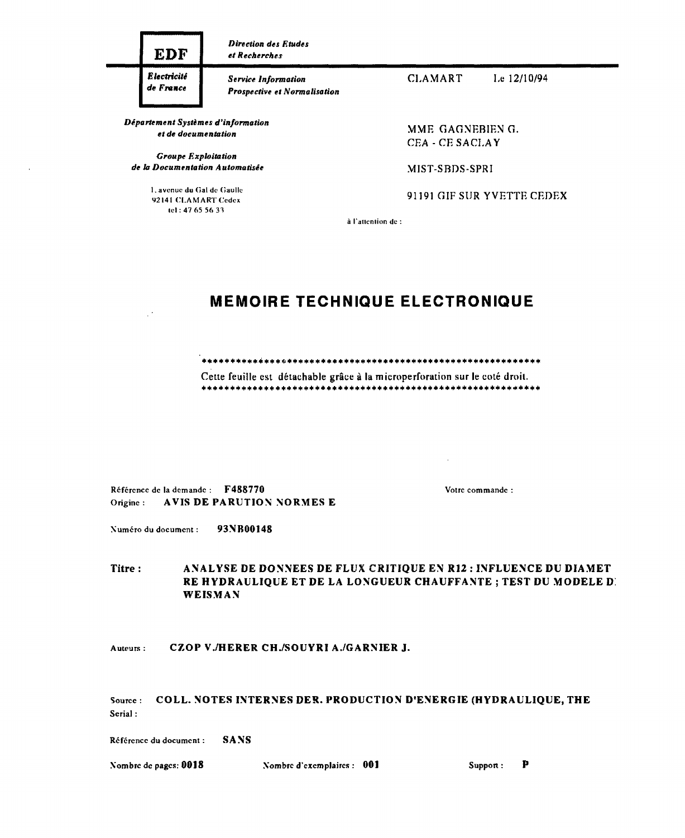| EDF                                                       | Direction des Etudes<br>et Recherches                             |                                     |                            |
|-----------------------------------------------------------|-------------------------------------------------------------------|-------------------------------------|----------------------------|
| Electricité<br>de France                                  | <b>Service Information</b><br><b>Prospective et Normalisation</b> | <b>CLAMART</b>                      | Le $12/10/94$              |
| Département Systèmes d'information<br>et de documentation |                                                                   | MME GAGNEBIEN G.<br>CEA - CE SACLAY |                            |
| <b>Groupe Exploitation</b>                                |                                                                   |                                     |                            |
| de la Documentation Automatisée                           |                                                                   | <b>MIST-SBDS-SPRI</b>               |                            |
| 1. avenue du Gal de Gaulle<br>92141 CLAMART Cedex         |                                                                   |                                     | 91191 GIF SUR YVETTE CEDEX |

**à l'atlcnlion de :**

# **MEMOIRE TECHNIQUE ELECTRONIQUE**

Cette feuille est détachable grâce à la microperforation sur le coté droil. \*\*\*\*\*\*\*\*\* 

Référence de la demande : **F488770** Origine: **A VIS DE PARUTION NORMES E** Votre commande

Numéro du document : **93NR00148**

 $\ddot{\phantom{a}}$ 

**Titre** : **ANALYSE DE DONNEES DE FLUX CRITIQUE EN R12 : INFLUENCE DU DIAMET RE HYDRAULIQUE ET DE LA LONGUEUR CHAUFFANTE ; TEST DU MODELE D! WEISMAN**

Auteurs : **CZOP V./HERER CH./SOUYRI A./GARNIER J.**

Source : **COLL. NOTES INTERNES DER. PRODUCTION D'ENERGIE (HYDRAULIQUE, THE Serial** :

Référence du document : **SANS**

**Nombre de** pages: **0018 Nombre d'exemplaires : 001 Support : P**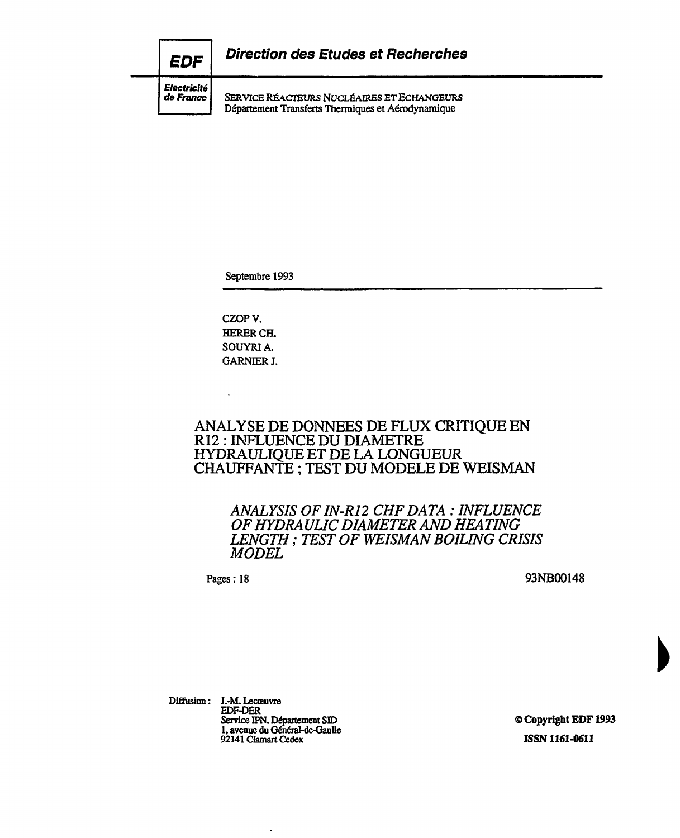

**Electricité**

**SERVICE RÉACTEURS NUCLÉAIRES ET ECHANGEURS Département Transferts Thermiques et Aérodynamique**

**Septembre 1993**

**CZOP V. HERERCH. SOUYRIA. GARNIERJ.**

 $\ddot{\phantom{0}}$ 

# **ANALYSE DE DONNEES DE FLUX CRITIQUE EN R12 : INFLUENCE DU DIAMETRE HYDRAULIQUE ET DE LA LONGUEUR CHAUFFANTE ; TEST DU MODELE DE WEISMAN**

*ANALYSIS 0FIN-R12 CHFDATA : INFLUENCE OF HYDRAULIC DIAMETER AND HEATING LENGTH ; TEST OF WEISMAN BOILING CRISIS MODEL*

Pages : 18 93NB00148

**Diffusion : J.-M. Lecœuvre EDF-DER** Service IPN. Département SID © Copyright EDF 1993 **1, avenue du Général-de-Gaulle 92141 Clamait Cedex ISSN 1161-0611**

 $\ddot{\phantom{0}}$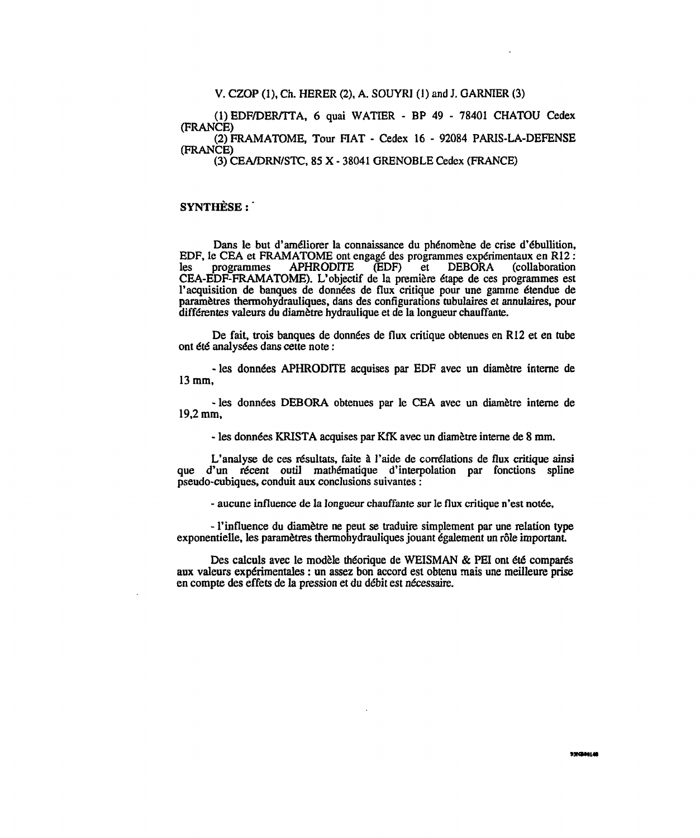## V. CZOP (1), Ch. HERER (2), A. SOUYRI (1) and J. GARNIER (3)

(1) EDF/DERATA, 6 quai WATIER - BP 49 - 78401 CHATOU Cedex (FRANCE)

(2) FRAMATOME, Tour FIAT - Cedex 16 - 92084 PARIS-LA-DEFENSE (FRANCE)

(3) CEA/DRN/STC, 85 X - 38041 GRENOBLE Cedex (FRANCE)

## SYNTHÈSE :

Dans le but d'améliorer la connaissance du phénomène de crise d'ébullition, EDF, le CEA et FRAMATOME ont engagé des programmes expérimentaux en R12 :<br>les programmes APHRODITE (EDF) et DEBORA (collaboration APHRODITE CEA-EDF-FRAMATOME). L'objectif de la première étape de ces programmes est l'acquisition de banques de données de flux critique pour une gamme étendue de paramètres thermohydrauliques, dans des configurations tabulaires et annulaires, pour différentes valeurs du diamètre hydraulique et de la longueur chauffante.

De fait, trois banques de données de flux critique obtenues en R12 et en tube ont été analysées dans cette note :

• les données APHRODITE acquises par EDF avec un diamètre interne de 13 mm,

- les données DEBORA obtenues par le CEA avec un diamètre interne de 19,2 mm,

- les données KRISTA acquises par KfK avec un diamètre interne de 8 mm.

L'analyse de ces résultats, faite à l'aide de corrélations de flux critique ainsi que d'un récent outil mathématique d'interpolation par fonctions spline pseudo-cubiques, conduit aux conclusions suivantes :

- aucune influence de la longueur chauffante sur le flux critique n'est notée,

- l'influence du diamètre ne peut se traduire simplement par une relation type exponentielle, les paramètres thermohydrauliques jouant également un rôle important.

Des calculs avec le modèle théorique de WEISMAN & PEI ont été comparés aux valeurs expérimentales : un assez bon accord est obtenu mais une meilleure prise en compte des effets de la pression et du débit est nécessaire.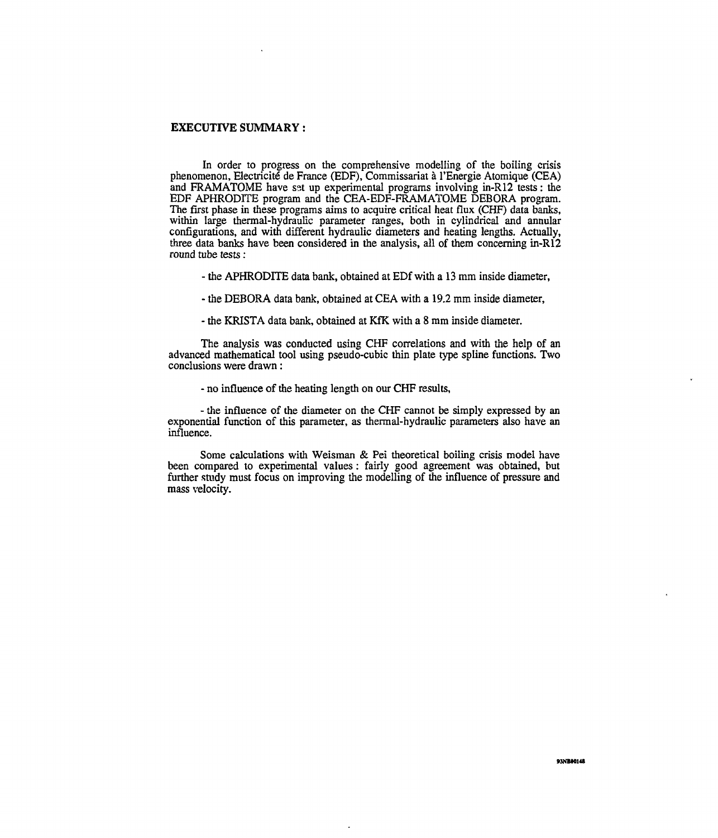## **EXECUTIVE SUMMARY** :

In order to progress on the comprehensive modelling of the boiling crisis phenomenon, Electricité de France (EDF), Commissariat à l'Energie Atomique (CEA) and FRAMATOME have sst up experimental programs involving in-R12 tests : the EDF APHRODITE program and the CEA-EDF-FRAMATOME DEBORA program. The first phase in these programs aims to acquire critical heat flux (CHF) data banks, within large thermal-hydraulic parameter ranges, both in cylindrical and annular configurations, and with different hydraulic diameters and heating lengths. Actually, three data banks have been considered in the analysis, all of them concerning in-R12 round tube tests :

- the APHRODITE data bank, obtained at EDf with a 13 mm inside diameter,
- the DEBORA data bank, obtained at CEA with a 19,2 mm inside diameter,
- the KRISTA data bank, obtained at KfK with a 8 mm inside diameter.

The analysis was conducted using CHF correlations and with the help of an advanced mathematical tool using pseudo-cubic thin plate type spline functions. Two conclusions were drawn :

- no influence of the heating length on our CHF results,

- the influence of the diameter on the CHF cannot be simply expressed by an exponential function of this parameter, as thermal-hydraulic parameters also have an influence.

Some calculations with Weisman & Pei theoretical boiling crisis model have been compared to experimental values : fairly good agreement was obtained, but further study must focus on improving the modelling of the influence of pressure and mass velocity.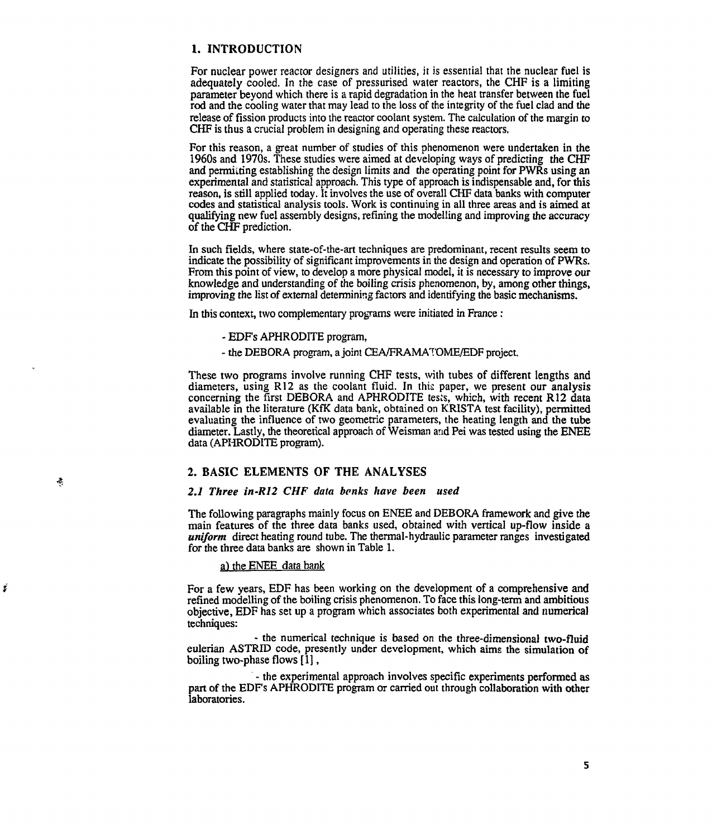## 1. INTRODUCTION

For nuclear power reactor designers and utilities, it is essential that the nuclear fuel is adequately cooled. In the case of pressurised water reactors, the CHF is a limiting parameter beyond which there is a rapid degradation in the heat transfer between the fuel rod and the cooling water that may lead to the loss of the integrity of the fuel clad and the release of fission products into the reactor coolant system. The calculation of the margin to CHF is thus a crucial problem in designing and operating these reactors.

For this reason, a great number of studies of this phenomenon were undertaken in the 1960s and 1970s. These studies were aimed at developing ways of predicting the CHF and permitting establishing the design limits and the operating point for PWRs using an experimental and statistical approach. This type of approach is indispensable and, for this reason, is still applied today. It involves the use of overall CHF data banks with computer codes and statistical analysis tools. Work is continuing in all three areas and is aimed at qualifying new fuel assembly designs, refining the modelling and improving the accuracy of the CHF prediction.

In such fields, where state-of-the-art techniques are predominant, recent results seem to indicate the possibility of significant improvements in the design and operation of PWRs. From this point of view, to develop a more physical model, it is necessary to improve our knowledge and understanding of the boiling crisis phenomenon, by, among other things, improving the list of external determining factors and identifying the basic mechanisms.

In this context, two complementary programs were initiated in France :

- EDFs APHRODITE program,
- the DEBORA program, a joint ŒA/FRAMATOME/EDF project.

These two programs involve running CHF tests, with tubes of different lengths and diameters, using R12 as the coolant fluid. In this paper, we present our analysis concerning the first DEBORA and APHRODITE tests, which, with recent R12 data available in the literature (KfK data bank, obtained on KRISTA test facility), permitted evaluating the influence of two geometric parameters, the heating length and the tube diameter. Lastly, the theoretical approach of Weisman and Pei was tested using the ENEE data (APHRODITE program).

## 2. BASIC ELEMENTS OF THE ANALYSES

#### *2.1 Three in-R12 CHF data bonks have been used*

The following paragraphs mainly focus on ENEE and DEBORA framework and give the main features of the three data banks used, obtained with vertical up-flow inside a *uniform* direct heating round tube. The thermal-hydraulic parameter ranges investigated for the three data banks are shown in Table 1.

#### a) the ENEE data bank

囈

ř

For a few years, EDF has been working on the development of a comprehensive and refined modelling of the boiling crisis phenomenon. To face this long-term and ambitious objective, EDF has set up a program which associates both experimental and numerical techniques:

- the numerical technique is based on the three-dimensional two-fluid eulerian ASTRID code, presently under development, which aims the simulation of boiling two-phase flows [1],

- the experimental approach involves specific experiments performed as part of the EDF's APHRODITE program or carried out through collaboration with other laboratories.

5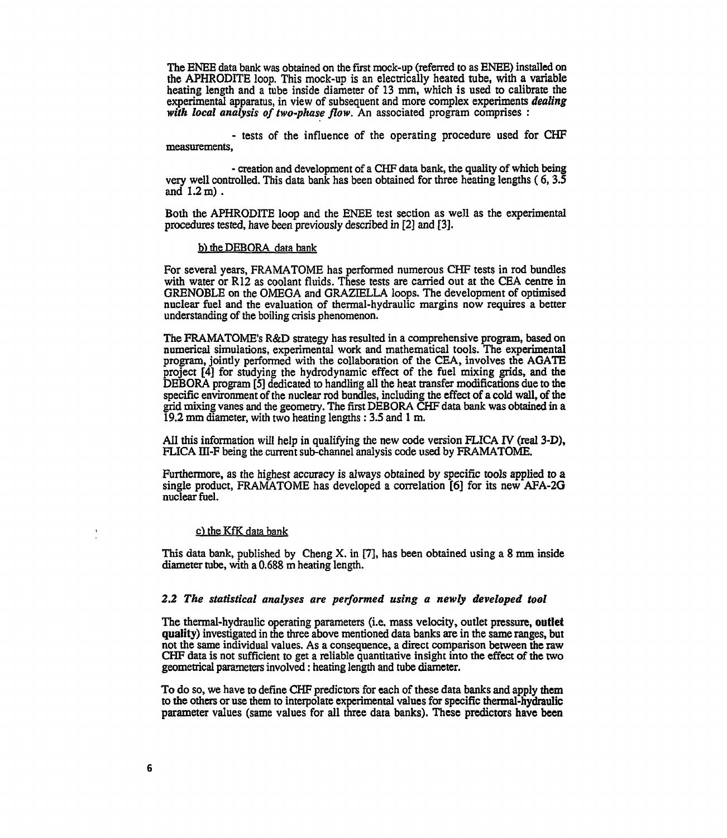The ENEE data bank was obtained on the first mock-up (referred to as ENEE) installed on the APHRODITE loop. This mock-up is an electrically heated tube, with a variable heating length and a tube inside diameter of 13 mm, which is used to calibrate the experimental apparatus, in view of subsequent and more complex experiments *dealing with local analysis of two-phase flow.* An associated program comprises :

- tests of the influence of the operating procedure used for CHF measurements,

- creation and development of a CHF data bank, the quality of which being very well controlled. This data bank has been obtained for three heating lengths ( 6, 3.5 and 1.2 m) .

Both the APHRODITE loop and the ENEE test section as well as the experimental procedures tested, have been previously described in [2] and [3].

#### b) the DEBORA data bank

For several years, FRAMATOME has performed numerous CHF tests in rod bundles with water or R12 as coolant fluids. These tests are carried out at the CEA centre in GRENOBLE on the OMEGA and GRAZIELLA loops. The development of optimised nuclear fuel and the evaluation of thermal-hydraulic margins now requires a better understanding of the boiling crisis phenomenon.

The FRAMATOME's R&D strategy has resulted in a comprehensive program, based on numerical simulations, experimental work and mathematical tools. The experimental program, jointly performed with the collaboration of the CEA, involves the AGATE project [4] for studying the hydrodynamic effect of the fuel mixing grids, and the DEBORA program [5] dedicated to handling all the heat transfer modifications due to the specific environment of the nuclear rod bundles, including the effect of a cold wall, of the grid mixing vanes and the geometry. The first DEBORA CHF data bank was obtained in a 19.2 mm diameter, with two heating lengths : 3.5 and 1 m.

All this information will help in qualifying the new code version FLICA IV (real 3-D), FLICA III-F being the current sub-channel analysis code used by FRAMATOME.

Furthermore, as the highest accuracy *is* always obtained by specific tools applied to a single product, FRAMATOME has developed a correlation [6] for its new AFA-2G nuclear fuel.

#### c) the KfK data bank

This data bank, published by Cheng X. in [7], has been obtained using a 8 mm inside diameter tube, with a 0.688 m heating length.

## *2.2 The statistical analyses are performed using a newly developed tool*

The thermal-hydraulic operating parameters (i.e. mass velocity, outlet pressure, outlet quality) investigated in the three above mentioned data banks are in the same ranges, but not the same individual values. As a consequence, a direct comparison between the raw CHF data is not sufficient to get a reliable quantitative insight into the effect of the two geometrical parameters involved : heating length and tube diameter.

To do so, we have to define CHF predictors for each of these data banks and apply them to the others or use them to interpolate experimental values for specific thermal-hydraulic parameter values (same values for all three data banks). These predictors have been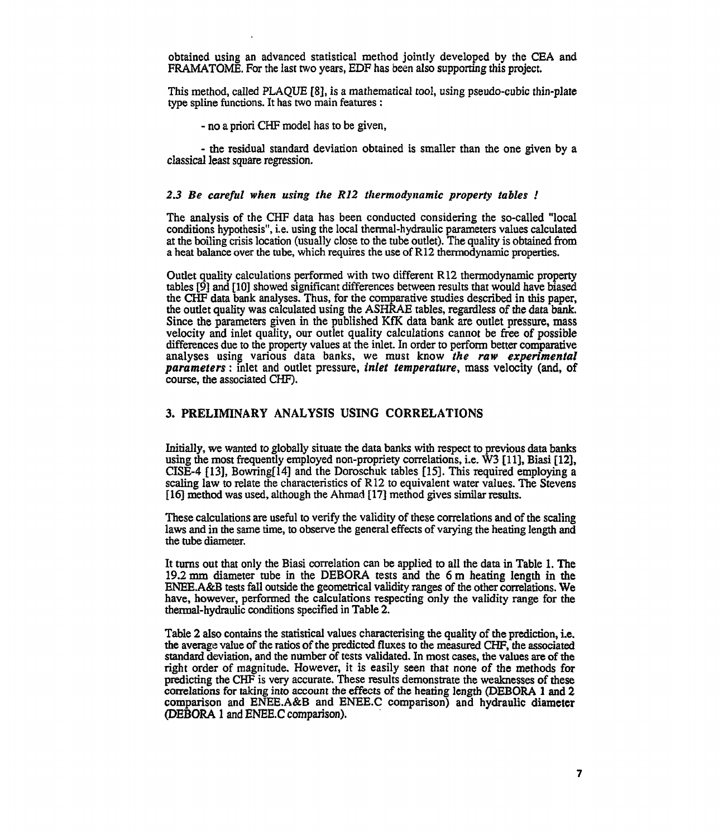obtained using an advanced statistical method jointly developed by the CEA and FRAMATOME. For the last two years, EDF has been also supporting this project.

This method, called PLAQUE [8], is a mathematical tool, using pseudo-cubic thin-plate type spline functions. It has two main features :

- no a priori CHF model has to be given,

- the residual standard deviation obtained is smaller than the one given by a classical least square regression.

#### *2.3 Be careful when using the R12 thermodynamic property tables !*

The analysis of the CHF data has been conducted considering the so-called "local conditions hypothesis", i.e. using the local thermal-hydraulic parameters values calculated at the boiling crisis location (usually close to the tube outlet). The quality is obtained from a heat balance over the tube, which requires the use of R12 thermodynamic properties.

Outlet quality calculations performed with two different R12 thermodynamic property tables [9] and [10] showed significant differences between results that would have biased the CHF data bank analyses. Thus, for the comparative studies described in this paper, the outlet quality was calculated using the ASHRAE tables, regardless of the data bank. Since the parameters given in the published KfK data bank are outlet pressure, mass velocity and inlet quality, our outlet quality calculations cannot be free of possible differences due to the property values at the inlet. In order to perform better comparative analyses using various data banks, we must know *the raw experimental parameters* : inlet and outlet pressure, *inlet temperature,* mass velocity (and, of course, the associated CHF).

## 3. PRELIMINARY ANALYSIS USING CORRELATIONS

Initially, we wanted to globally situate the data banks with respect to previous data banks using die most frequently employed non-propriety correlations, i.e. W3 [11], Biasi [12], CISE-4 [13], Bowring[14] and the Doroschuk tables [15]. This required employing a scaling law to relate the characteristics of R12 to equivalent water values. The Stevens [16] method was used, although the Ahmad [17] method gives similar results.

These calculations are useful to verify the validity of these correlations and of the scaling laws and in the same time, to observe the general effects of varying the heating length and the tube diameter.

It turns out that only the Biasi correlation can be applied to all the data in Table 1. The 19.2 mm diameter tube in the DEBORA tests and the 6 m heating length in the ENEE.A&B tests fall outside the geometrical validity ranges of the other correlations. We have, however, performed the calculations respecting only the validity range for the thermal-hydraulic conditions specified in Table 2.

Table 2 also contains the statistical values characterising the quality of the prediction, i.e. the average value of the ratios of the predicted fluxes to the measured CHF, the associated standard deviation, and the number of tests validated. In most cases, the values are of the right order of magnitude. However, it is easily seen that none of the methods for predicting the CHF is very accurate. These results demonstrate the weaknesses of these correlations for taking into account the effects of the hearing length (DEBORA 1 and 2 comparison and ENEE.A&B and ENEE.C comparison) and hydraulic diameter ORA 1 and ENEE.C comparison).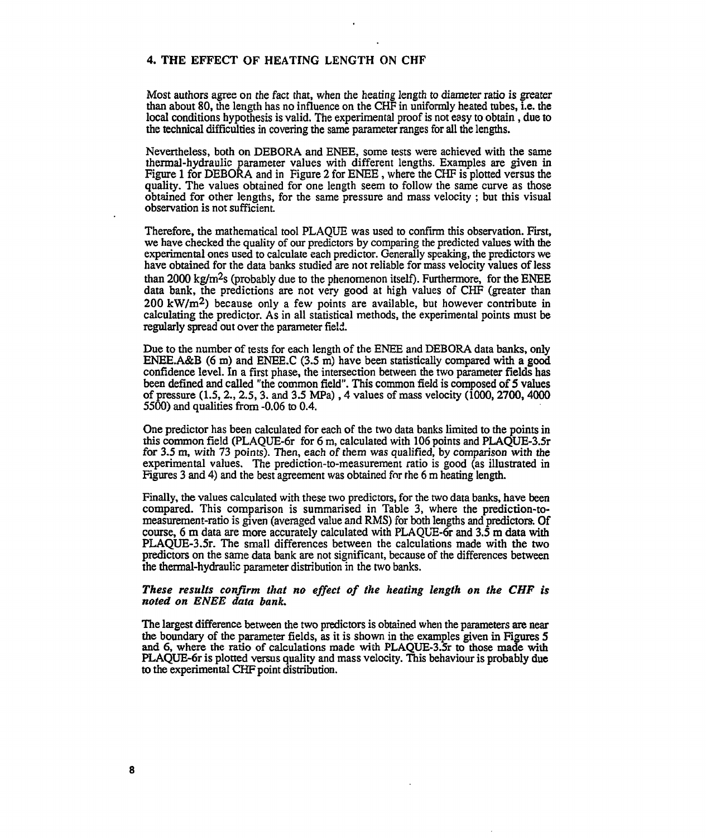## 4. **THE** EFFECT OF HEATING LENGTH ON CHF

Most authors agree on the fact that, when the heating length to diameter ratio is greater than about 80, the length has no influence on the CHF in uniformly heated tubes, i.e. the local conditions hypothesis is valid. The experimental proof is not easy to obtain, due to the technical difficulties in covering the same parameter ranges for all the lengths.

Nevertheless, both on DEBORA and ENEE, some tests were achieved with the same thermal-hydraulic parameter values with different lengths. Examples are given in Figure 1 for DEBORA and in Figure 2 for ENEE, where the CHF is plotted versus the quality. The values obtained for one length seem to follow the same curve as those obtained for other lengths, for the same pressure and mass velocity ; but this visual observation is not sufficient.

Therefore, the mathematical tool PLAQUE was used to confirm this observation. First, we have checked the quality of our predictors by comparing the predicted values with the experimental ones used to calculate each predictor. Generally speaking, the predictors we have obtained for the data banks studied are not reliable for mass velocity values of less than 2000 kg/m<sup>2</sup>s (probably due to the phenomenon itself). Furthermore, for the ENEE data bank, the predictions are not very good at high values of CHF (greater than 200 kW/m<sup>2</sup> ) because only a few points are available, but however contribute in calculating the predictor. As in all statistical methods, the experimental points must be regularly spread out over the parameter field.

Due to the number of tests for each length of the ENEE and DEBORA data banks, only ENEE.A&B (6 m) and ENEE.C (3.5 m) have been statistically compared with a good confidence level. In a first phase, the intersection between the two parameter fields has been defined and called "the common field". This common field is composed of 5 values of pressure (1.5, 2., 2.5, 3. and 3.5 MPa), 4 values of mass velocity (1000, 2700,4000 5500) and qualities from -0.06 to 0.4.

One predictor has been calculated for each of the two data banks limited to the points in this common field (PLAQUE-6r for 6 m, calculated with 106 points and PLAQUE-3.5r for 3.5 m, with 73 points). Then, each of them was qualified, by comparison with the experimental values. The prediction-to-measurement ratio is good (as illustrated in Figures 3 and 4) and the best agreement was obtained for the 6 m heating length.

Finally, the values calculated with these two predictors, for the two data banks, have been compared. This comparison is summarised in Table 3, where the prediction-tomeasurement-ratio is given (averaged value and RMS) for both lengths and predictors. Of course, 6 m data are more accurately calculated with PLAQUE-6r and 3.5 m data with PLAQUE-3.5r. The small differences between the calculations made with the two predictors on the same data bank are not significant, because of the differences between the thermal-hydraulic parameter distribution in the two banks.

#### *These results confirm that no effect of the heating length on the CHF is noted on ENEE data bank.*

The largest difference between the two predictors is obtained when the parameters are near the boundary of the parameter fields, as it is shown in the examples given in Figures 5 and 6, where the ratio of calculations made with PLAQUE-3.5r to those made with PLAQUE-6r is plotted versus quality and mass velocity. This behaviour is probably due to the experimental CHF point distribution.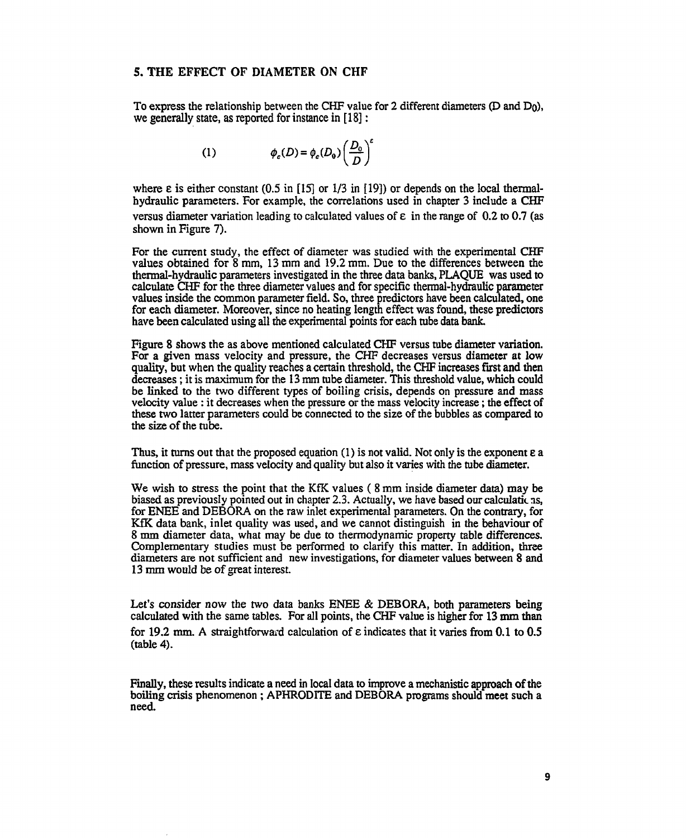## **S. THE EFFECT OF DIAMETER ON CHF**

To express the relationship between the CHF value for 2 different diameters (D and Do), we generally state, as reported for instance in [18] :

(1) 
$$
\phi_c(D) = \phi_c(D_0) \left(\frac{D_0}{D}\right)^c
$$

where  $\varepsilon$  is either constant (0.5 in [15] or 1/3 in [19]) or depends on the local thermalhydraulic parameters. For example, the correlations used in chapter 3 include a CHF versus diameter variation leading to calculated values of  $\varepsilon$  in the range of 0.2 to 0.7 (as shown in Figure 7).

For the current study, the effect of diameter was studied with the experimental CHF values obtained for 8 mm, 13 mm and 19.2 mm. Due to the differences between the thermal-hydraulic parameters investigated in the three data banks, PLAQUE was used to calculate CHF for the three diameter values and for specific thermal-hydraulic parameter values inside the common parameter field. So, three predictors have been calculated, one for each diameter. Moreover, since no heating length effect was found, these predictors have been calculated using all the experimental points for each tube data bank.

Figure 8 shows the as above mentioned calculated CHF versus tube diameter variation. For a given mass velocity and pressure, the CHF decreases versus diameter at low quality, but when the quality reaches a certain threshold, the CHF increases first and then decreases ; it is maximum for the 13 mm tube diameter. This threshold value, which could be linked to the two different types of boiling crisis, depends on pressure and mass velocity value : it decreases when the pressure or the mass velocity increase ; the effect of these two latter parameters could be connected to the size of the bubbles as compared to the size of the tube.

Thus, it turns out that the proposed equation (1) is not valid. Not only is the exponent E a function of pressure, mass velocity and quality but also it varies with the tube diameter.

We wish to stress the point that the KfK values ( 8 mm inside diameter data) may be biased as previously pointed out in chapter 2.3. Actually, we have based our calculatic as, for ENEE and DEBORA on the raw inlet experimental parameters. On the contrary, for KfK data bank, inlet quality was used, and we cannot distinguish in the behaviour of 8 mm diameter data, what may be due to thermodynamic property table differences. Complementary studies must be performed to clarify this matter. In addition, three diameters are not sufficient and new investigations, for diameter values between 8 and 13 mm would be of great interest.

Let's consider now the two data banks ENEE & DEBORA, both parameters being calculated with the same tables. For all points, the CHF value is higher for 13 mm than for 19.2 mm. A straightforward calculation of  $\varepsilon$  indicates that it varies from 0.1 to 0.5 (table 4).

Finally, these results indicate a need in local data to improve a mechanistic approach of the boiling crisis phenomenon ; APHRODITE and DEBORA programs should meet such a need.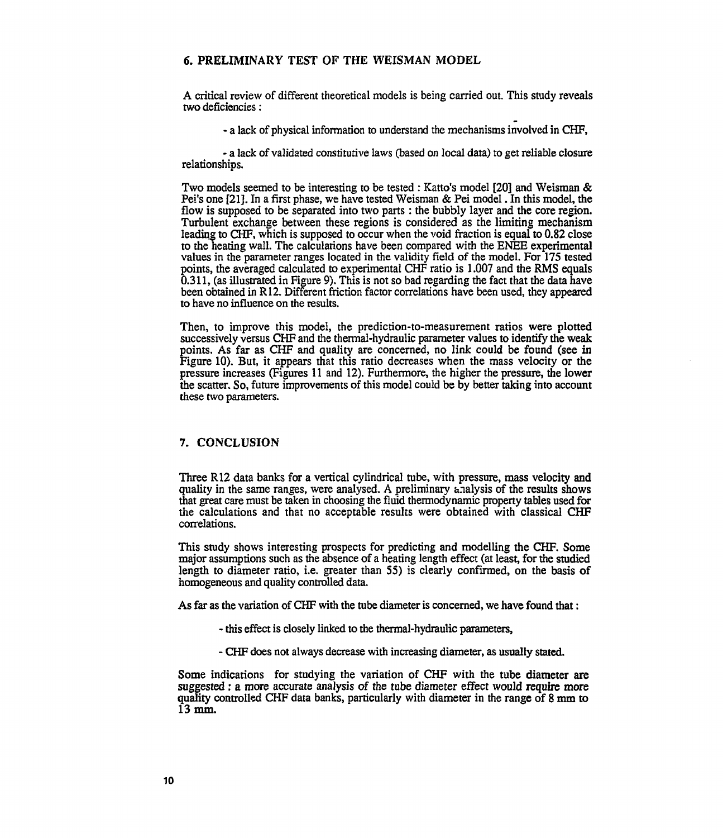## 6. PRELIMINARY TEST OF THE WEISMAN MODEL

A critical review of different theoretical models is being carried out. This study reveals two deficiencies :

- a lack of physical information to understand the mechanisms involved in CHF,

- a lack of validated constitutive laws (based on local data) to get reliable closure relationships.

Two models seemed to be interesting to be tested : Katto's model [20] and Weisman & Pei's one [21]. In a first phase, we have tested Weisman & Pei model. In this model, the flow is supposed to be separated into two parts : the bubbly layer and the core region. Turbulent exchange between these regions is considered as the limiting mechanism leading to CHF, which is supposed to occur when the void fraction is equal to 0.82 close to me heating wall. The calculations have been compared with the ENEE experimental values in the parameter ranges located in the validity field of the model. For 175 tested points, the averaged calculated to experimental CHF ratio is 1.007 and the RMS equals 0.311, (as illustrated in Figure 9). This is not so bad regarding the fact that the data have been obtained in R12. Different friction factor correlations have been used, they appeared to have no influence on the results.

Then, to improve this model, the prediction-to-measurement ratios were plotted successively versus CHF and the thermal-hydraulic parameter values to identify the weak points. As far as CHF and quality are concerned, no link could be found (see in Figure 10). But, it appears that this ratio decreases when the mass velocity or the pressure increases (Figures 11 and 12). Furthermore, the higher the pressure, the lower the scatter. So, future improvements of this model could be by better taking into account these two parameters.

#### 7. CONCLUSION

Three R12 data banks for a vertical cylindrical tube, with pressure, mass velocity and quality in the same ranges, were analysed. A preliminary analysis of the results shows that great care must be taken in choosing the fluid thermodynamic property tables used for the calculations and that no acceptable results were obtained with classical CHF correlations.

This study shows interesting prospects for predicting and modelling the CHF. Some major assumptions such as the absence of a heating length effect (at least, for the studied length to diameter ratio, i.e. greater than 55) is clearly confirmed, on the basis of homogeneous and quality controlled data.

As far as the variation of CHF with the tube diameter is concerned, we have found that :

- this effect is closely linked to the thermal-hydraulic parameters,
- CHF does not always decrease with increasing diameter, as usually stated.

Some indications for studying the variation of CHF with the tube diameter are suggested : a more accurate analysis of the tube diameter effect would require more quality controlled CHF data banks, particularly with diameter in the range of 8 mm to 13 mm.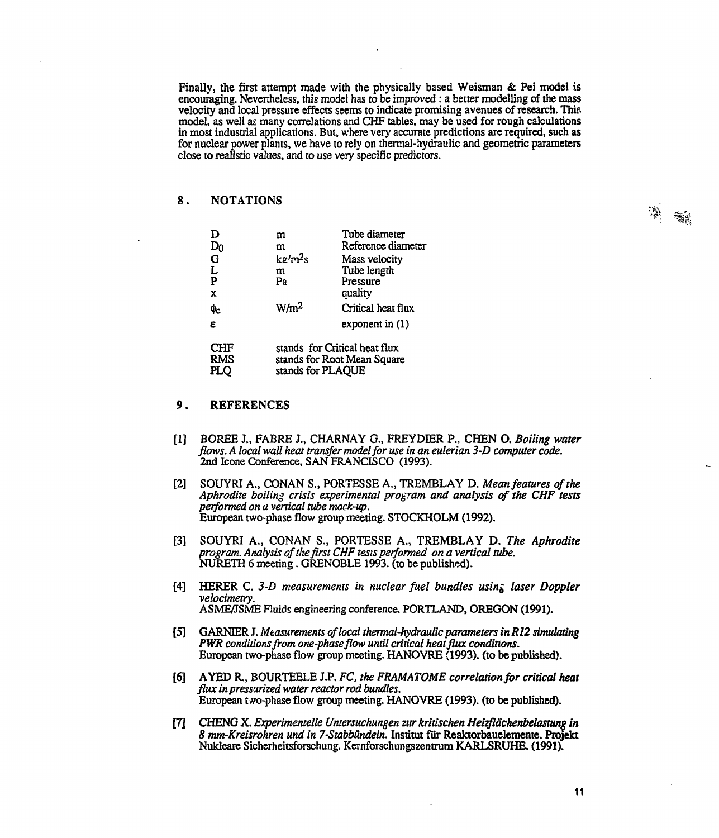Finally, the first attempt made with the physically based Weisman & Pei model is encouraging. Nevertheless, this model has to be improved : a better modelling of the mass velocity and local pressure effects seems to indicate promising avenues of research. This model, as well as many correlations and CHF tables, may be used for rough calculations in most industrial applications. But, where very accurate predictions are required, such as for nuclear power plants, we have to rely on thermal-hydraulic and geometric parameters close to realistic values, and to use very specific predictors.

## 8. NOTATIONS

| D                                      | m                                                                                 | Tube diameter      |  |  |  |
|----------------------------------------|-----------------------------------------------------------------------------------|--------------------|--|--|--|
| $\mathbf{D}_0$                         | m                                                                                 | Reference diameter |  |  |  |
| G                                      | kg/m <sup>2</sup> s                                                               | Mass velocity      |  |  |  |
| L                                      | m                                                                                 | Tube length        |  |  |  |
| $\mathbf P$                            | Pa                                                                                | Pressure           |  |  |  |
| X                                      |                                                                                   | quality            |  |  |  |
| Фc                                     | W/m <sup>2</sup>                                                                  | Critical heat flux |  |  |  |
| ε                                      |                                                                                   | exponent in $(1)$  |  |  |  |
| <b>CHF</b><br><b>RMS</b><br><b>PLO</b> | stands for Critical heat flux<br>stands for Root Mean Square<br>stands for PLAQUE |                    |  |  |  |

## 9. REFERENCES

- [1] BOREE J., FABRE J., CHARNAY G., FREYDIER P., CHEN O. *Boiling water flows. A local wall heat transfer model for use in an eulerian 3-D computer code.* 2nd Icone Conference, SAN FRANCISCO (1993).
- [2] SOUYRIA., CONAN S., PORTESSE A., TREMBLAY D. *Mean features of the Aphrodite boiling crisis experimental program and analysis of the CHF tests performed on a vertical tube mock-up.* European two-phase flow group meeting. STOCKHOLM (1992).
- [3] SOUYRI A., CONAN S., PORTESSE A., TREMBLAY D. *The Aphrodite program. Analysis of the first CHF tests performed on a vertical tube.* NURETH 6 meeting . GRENOBLE 1993. (to be published).
- [4] HERER C. *3-D measurements in nuclear fuel bundles using laser Doppter velocimetry.* ASME/TSME Fluids engineering conference. PORTLAND, OREGON (1991).
- [5] GARNIER J. *Measurements of local thermal-hydraulic parameters in R12 simulating PWR conditions from one-phase flow until critical heat flux conditions.* European two-phase flow group meeting. HANOVRE (1993). (to be published).
- [6] AYED R., BOURTEELE J.P. *FC, the FRAMATOME correlation for critical heat flux in pressurized water reactor rod bundles.* European two-phase flow group meeting. HANOVRE (1993). (to be published).
- [7] CHENG X. *Experimentelle Untersuchungen zur kritischen Heizflachenbelastung in 8 mm-Kreisrohren und in 7-StabbUndeln.* Institut fur **Reaktorbauelemente. Projekt** Nukleare Sicherheitsforschung. Kernforschungszentrum **KARLSRUHE. (1991).**

**11**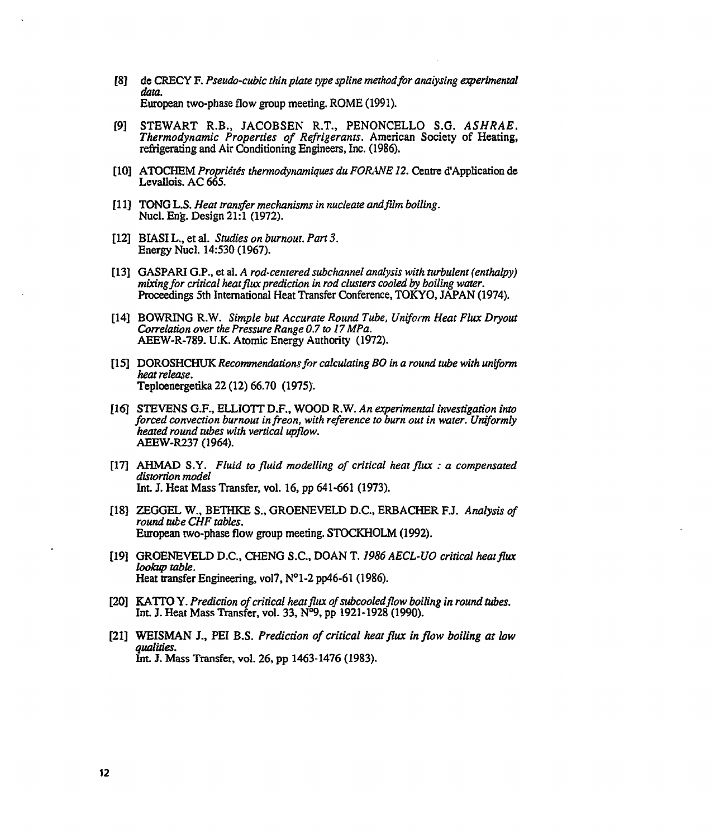- **[8]** de CRECY F. *Pseudo-cubic thin plate type spline method for analysing experimental data.* European two-phase flow group meeting. ROME (1991).
- [9] STEWART R.B., JACOBSEN R.T., PENONCELLO S.G. *ASHRAE. Thermodynamic Properties of Refrigerants.* American Society of Heating, refrigerating and Air Conditioning Engineers, Inc. (1986).
- [10] ATOCHEM *Propriétés thermodynamiques du FORANE12.* Centre d'Application de Levallois. AC 665.
- [11] TONG L.S. *Heat transfer mechanisms in nucleate and film boiling.* Nucl. Eng. Design 21:1 (1972).
- [12] BIASIL., et al. *Studies on burnout. Part 3.* Energy Nucl. 14:530 (1967).
- [13] GASPARI G.P., et al. *A rod-centered subchannel analysis with turbulent (enthalpy) mixing for critical heat flux prediction in rod clusters cooled by boiling water.* Proceedings 5th International Heat Transfer Conference, TOKYO, JAPAN (1974).
- [14] BOWRING R.W. *Simple but Accurate Round Tube, Uniform Heat Flux Dryout Correlation over the Pressure Range 0.7 to 17 MPa.* AEEW-R-789. U.K. Atomic Energy Authority (1972).
- [15] DOROSHCHUK *Recommendations for calculating BO in a round tube with uniform heat release.* Teploenergetika22(12)66.70 (1975).
- [16] STEVENS G.F., ELLIOTT D.F., WOOD R.W. *An experimental investigation into forced convection burnout infreon, with reference to burn out in water. Uniformly heated round tubes with vertical upflow.* AEEW-R237 (1964).
- [17] AHMAD S.Y. *Fluid to fluid modelling of critical heat flux : a compensated distortion model* Int. J. Heat Mass Transfer, vol. 16, pp 641-661 (1973).
- [18] ZEGGEL W., BETHKE S., GROENEVELD D.C., ERBACHER FJ. *Analysis of round tube CHF tables.* European two-phase flow group meeting. STOCKHOLM (1992).
- [19] GROENEVELD D.C., CHENG S.C., DOAN T. /956 *AECL-UO critical heat flux lookup table.* Heat transfer Engineering, vol7, N°l-2 pp46-61 (1986).
- [20] KATTO Y. Prediction of critical heat flux of subcooled flow boiling in round tubes. Int. J. Heat Mass Transfer, vol. 33, N°9, pp 1921-1928 (1990).
- **[21] WEISMAN J-, PEI B.S.** *Prediction of critical heat flux inflow boiling at low qualities.* Int. J. Mass Transfer, vol. 26, pp 1463-1476 (1983).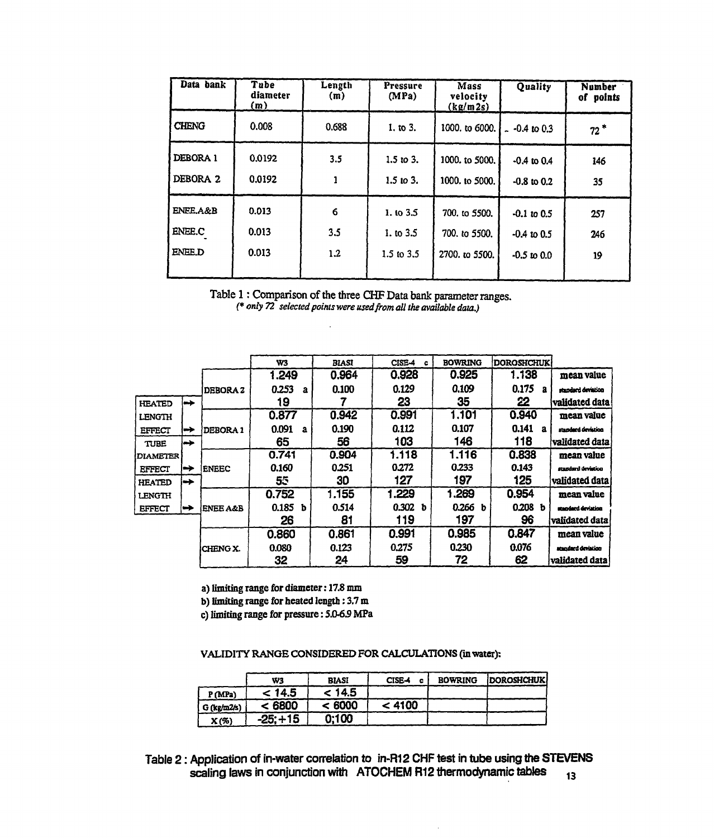| Data bank           | Tube<br>diameter<br>(m) | Length<br>(m) | Pressure<br>(MPa) | Mass<br>velocity<br>(kg/m2s) | Quality                | <b>Number</b><br>points<br>of |
|---------------------|-------------------------|---------------|-------------------|------------------------------|------------------------|-------------------------------|
| <b>CHENG</b>        | 0.008                   | 0.688         | 1. to 3.          | 1000. to 6000.               | $-0.4 \text{ to } 0.3$ | $72*$                         |
| DEBORA 1            | 0.0192                  | 3.5           | 1.5 to 3.         | 1000. to 5000.               | $-0.4$ to 0.4          | 146                           |
| DEBORA 2            | 0.0192                  |               | $1.5$ to 3.       | 1000, to 5000.               | $-0.8$ to 0.2          | 35                            |
| <b>ENEE.A&amp;B</b> | 0.013                   | 6             | 1.103.5           | 700. to 5500.                | $-0.1$ to $0.5$        | 257                           |
| <b>ENEE.C</b>       | 0.013                   | 3.5           | 1. to 3.5         | 700. to 5500.                | $-0.4$ to 0.5          | 246                           |
| <b>ENEE.D</b>       | 0.013                   | 1.2           | 1.5 to $3.5$      | 2700. to 5500.               | $-0.5 \text{ to } 0.0$ | 19                            |

**Table 1 : Comparison of the three CHF Data bank parameter ranges.** *(\* only 72 selected points were used from all the available data.)*

|                 |   |                     | W3                    | <b>BIASI</b> | CISE-4<br>c | <b>BOWRING</b>       | DOROSHCHUK            |                    |
|-----------------|---|---------------------|-----------------------|--------------|-------------|----------------------|-----------------------|--------------------|
|                 |   |                     | 1.249                 | 0.964        | 0.928       | 0.925                | 1.138                 | mean value         |
|                 |   | <b>DEBORA 2</b>     | 0.253<br>$\mathbf{a}$ | 0.100        | 0.129       | 0.109                | 0.175<br>$\mathbf{a}$ | standard deviation |
| <b>HEATED</b>   | ⊷ |                     | 19                    |              | 23          | 35                   | 22                    | validated data     |
| <b>LENGTH</b>   |   |                     | 0.877                 | 0.942        | 0.991       | 1.101                | 0.940                 | mean value         |
| <b>EFFECT</b>   | ⊷ | DEBORA 1            | 0.091<br>$\mathbf{a}$ | 0.190        | 0.112       | 0.107                | 0.141<br>$\mathbf a$  | standard devistion |
| <b>TUBE</b>     | ⊷ |                     | 65                    | 56           | 103         | 146                  | 118                   | validated data     |
| <b>DIAMETER</b> |   |                     | 0.741                 | 0.904        | 1.118       | 1.116                | 0.838                 | mean value         |
| <b>EFFECT</b>   | ➡ | <b>ENEEC</b>        | 0.160                 | 0.251        | 0.272       | 0.233                | 0.143                 | standard devistion |
| <b>HEATED</b>   | ⊷ |                     | 55                    | 30           | 127         | 197                  | 125                   | validated data     |
| <b>LENGTH</b>   |   |                     | 0.752                 | 1.155        | 1.229       | 1.269                | 0.954                 | mean value         |
| <b>EFFECT</b>   | ➡ | <b>ENEE A&amp;B</b> | 0.185<br>b            | 0.514        | 0.302<br>b  | 0.266<br>$\mathbf b$ | 0.208 <sub>b</sub>    | standard deviation |
|                 |   |                     | 26                    | 81           | 119         | 197                  | 96                    | validated data     |
|                 |   |                     | 0.860                 | 0.861        | 0.991       | 0.985                | 0.847                 | mean value         |
|                 |   | CHENG X.            | 0.080                 | 0.123        | 0.275       | 0.230                | 0.076                 | standard devistion |
|                 |   |                     | 32                    | 24           | 59          | 72                   | 62                    | validated data     |

**a) limiting range for diameter : 17.8 mm**

**b) limiting range for beated length : 3.7 m**

**c) limiting range for pressure : 5.0-6.9 MPa**

**VALIDITY RANGE CONSIDERED FOR CALCULATIONS (in water):**

|               | W3         | <b>BIASI</b> | CISE-4<br>с | <b>BOWRING</b> | <b>IDOROSHCHUKI</b> |
|---------------|------------|--------------|-------------|----------------|---------------------|
| P(MPa)        | < 14.5     | < 14.5       |             |                |                     |
| $G$ (kg/m2/s) | < 6800     | < 6000       | < 4100      |                |                     |
| $X(\%)$       | $-25: +15$ | 0:100        |             |                |                     |

Table 2 : Application of in-water correlation to in-R12 CHF test in tube using the STEVENS scaling laws in conjunction with ATOCHEM R12 thermodynamic tables  $_{13}$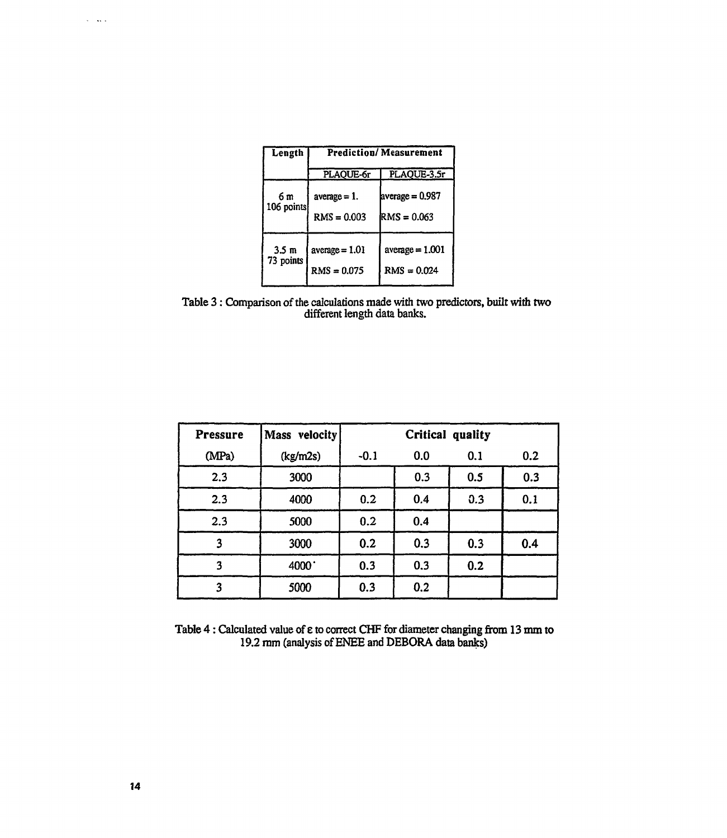| Length           | <b>Prediction/Measurement</b> |                   |  |  |  |
|------------------|-------------------------------|-------------------|--|--|--|
|                  | PLAQUE-6r                     | PLAQUE-3.5r       |  |  |  |
| 6 m              | $average = 1$ .               | average $= 0.987$ |  |  |  |
| 106 points       | $RMS = 0.003$                 | RMS = 0.063       |  |  |  |
| 3.5 <sub>m</sub> | average $= 1.01$              | $average = 1.001$ |  |  |  |
| 73 points        | RMS = 0.075                   | $RMS = 0.024$     |  |  |  |

Table 3 : Comparison of the calculations made with two predictors, built with two different length data banks.

| <b>Pressure</b> | Mass velocity | Critical quality |     |     |     |
|-----------------|---------------|------------------|-----|-----|-----|
| (MPa)           | (kg/m2s)      | $-0.1$           | 0.0 | 0.1 | 0.2 |
| 2.3             | 3000          |                  | 0.3 | 0.5 | 0.3 |
| 2.3             | 4000          | 0.2              | 0.4 | 0.3 | 0.1 |
| 2.3             | 5000          | 0.2              | 0.4 |     |     |
| 3               | 3000          | 0.2              | 0.3 | 0.3 | 0.4 |
| 3               | 4000          | 0.3              | 0.3 | 0.2 |     |
| 3               | 5000          | 0.3              | 0.2 |     |     |

**Table** 4 : Calculated value of **e** to correct CHF for diameter changing from 13 mm to 19.2 mm (analysis of ENEE and DEBORA data banks)

 $\omega$  and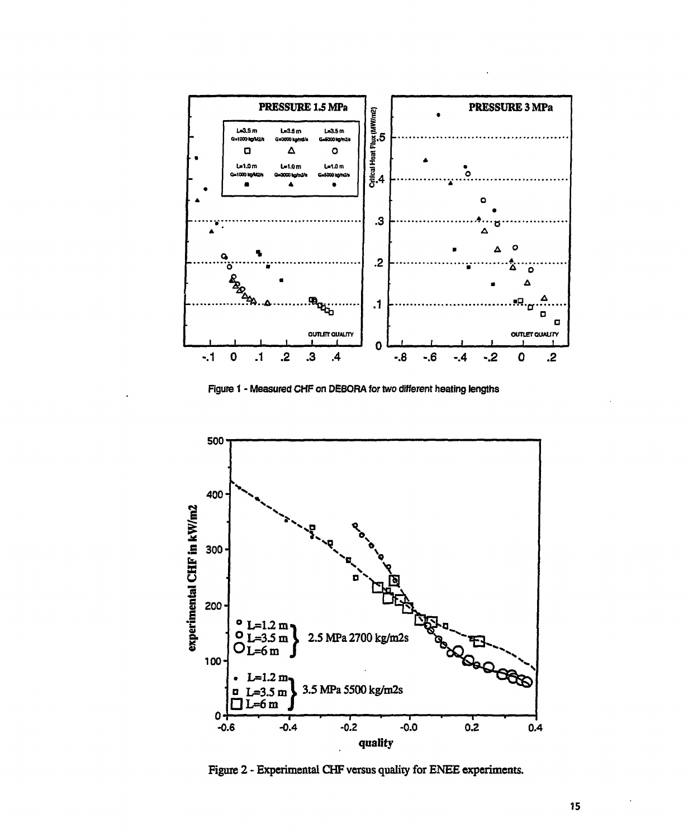

**Figure 1 - Measured CHF on DEBORA for two different heating lengths**



**Figure 2 - Experimental CEIF versus quality for ENEE experiments.**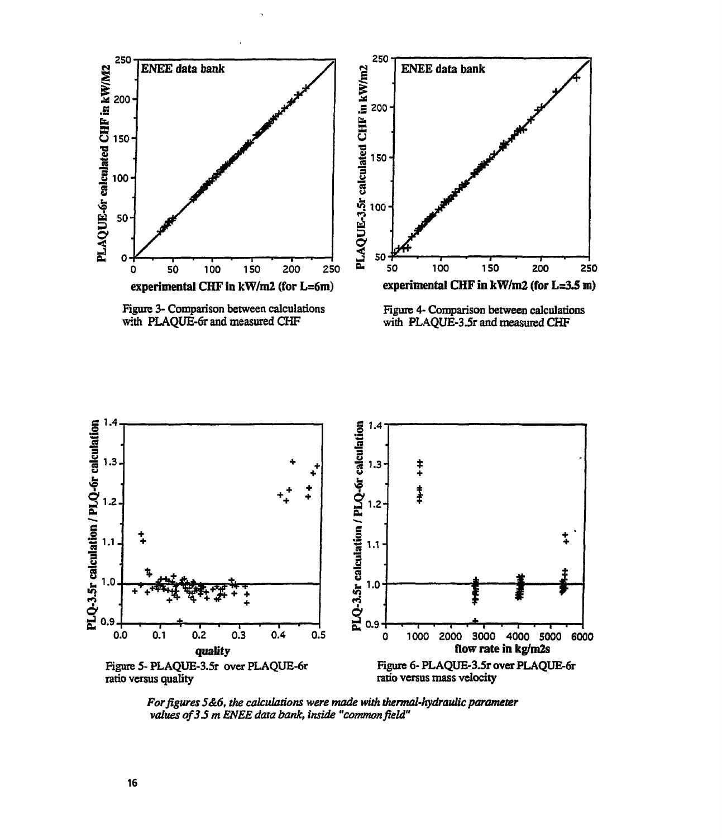

Figure 3- Comparison between calculations with PLAQUE-6r and measured CHF



Figure 4- Comparison between calculations with PLAQUE-3.5r and measured CHF



*For figures S &6, the calculations were made with thermal-hydraulic parameter values of 3 J m ENEE data bank, inside "common field"*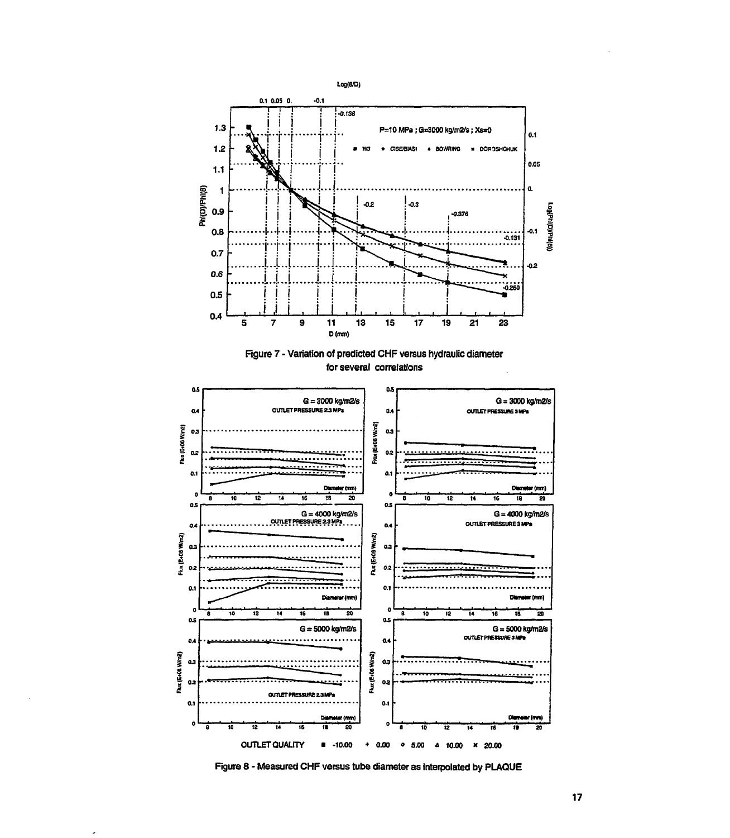

Figure 8 • Measured CHF versus tube diameter as interpolated by PLAQUE